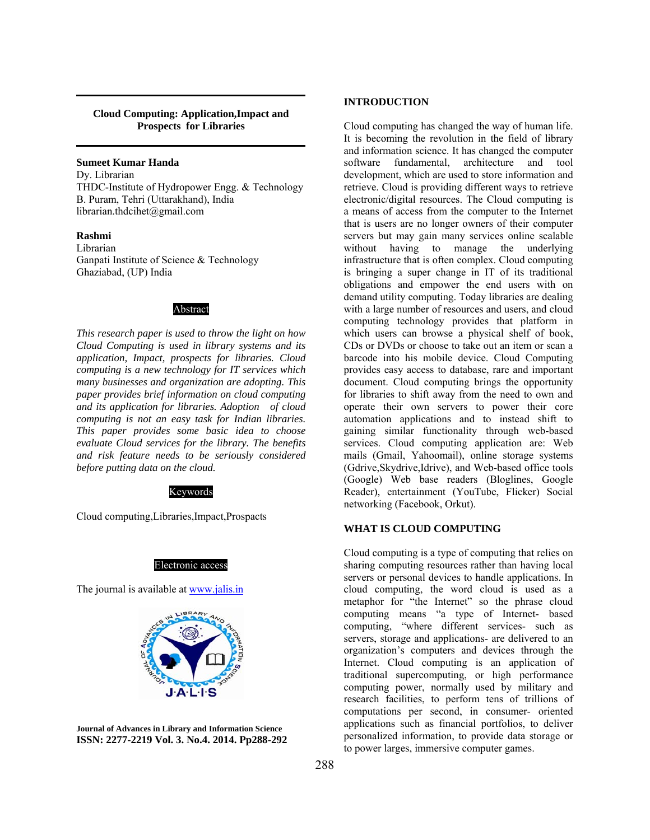#### **Cloud Computing: Application,Impact and Prospects for Libraries**

## **Sumeet Kumar Handa**

Dy. Librarian THDC-Institute of Hydropower Engg. & Technology B. Puram, Tehri (Uttarakhand), India librarian.thdcihet@gmail.com

## **Rashmi**

Librarian Ganpati Institute of Science & Technology Ghaziabad, (UP) India

#### Abstract

*This research paper is used to throw the light on how Cloud Computing is used in library systems and its application, Impact, prospects for libraries. Cloud computing is a new technology for IT services which many businesses and organization are adopting. This paper provides brief information on cloud computing and its application for libraries. Adoption of cloud computing is not an easy task for Indian libraries. This paper provides some basic idea to choose evaluate Cloud services for the library. The benefits and risk feature needs to be seriously considered before putting data on the cloud.* 

#### Keywords

Cloud computing,Libraries,Impact,Prospacts

#### Electronic access

The journal is available at www.jalis.in



**Journal of Advances in Library and Information Science ISSN: 2277-2219 Vol. 3. No.4. 2014. Pp288-292** 

## **INTRODUCTION**

Cloud computing has changed the way of human life. It is becoming the revolution in the field of library and information science. It has changed the computer software fundamental, architecture and tool development, which are used to store information and retrieve. Cloud is providing different ways to retrieve electronic/digital resources. The Cloud computing is a means of access from the computer to the Internet that is users are no longer owners of their computer servers but may gain many services online scalable without having to manage the underlying infrastructure that is often complex. Cloud computing is bringing a super change in IT of its traditional obligations and empower the end users with on demand utility computing. Today libraries are dealing with a large number of resources and users, and cloud computing technology provides that platform in which users can browse a physical shelf of book, CDs or DVDs or choose to take out an item or scan a barcode into his mobile device. Cloud Computing provides easy access to database, rare and important document. Cloud computing brings the opportunity for libraries to shift away from the need to own and operate their own servers to power their core automation applications and to instead shift to gaining similar functionality through web-based services. Cloud computing application are: Web mails (Gmail, Yahoomail), online storage systems (Gdrive,Skydrive,Idrive), and Web-based office tools (Google) Web base readers (Bloglines, Google Reader), entertainment (YouTube, Flicker) Social networking (Facebook, Orkut).

#### **WHAT IS CLOUD COMPUTING**

Cloud computing is a type of computing that relies on sharing computing resources rather than having local servers or personal devices to handle applications. In cloud computing, the word cloud is used as a metaphor for "the Internet" so the phrase cloud computing means "a type of Internet- based computing, "where different services- such as servers, storage and applications- are delivered to an organization's computers and devices through the Internet. Cloud computing is an application of traditional supercomputing, or high performance computing power, normally used by military and research facilities, to perform tens of trillions of computations per second, in consumer- oriented applications such as financial portfolios, to deliver personalized information, to provide data storage or to power larges, immersive computer games.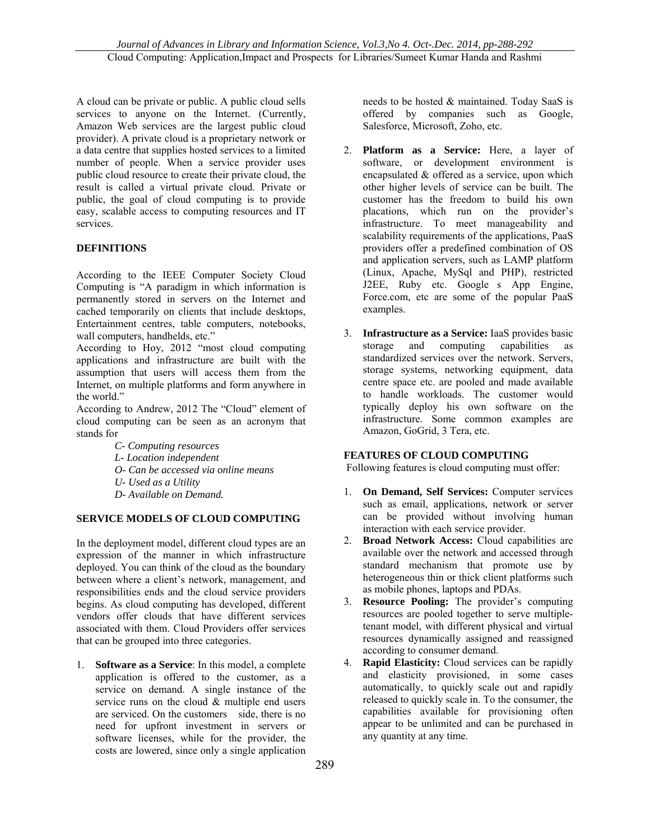A cloud can be private or public. A public cloud sells services to anyone on the Internet. (Currently, Amazon Web services are the largest public cloud provider). A private cloud is a proprietary network or a data centre that supplies hosted services to a limited number of people. When a service provider uses public cloud resource to create their private cloud, the result is called a virtual private cloud. Private or public, the goal of cloud computing is to provide easy, scalable access to computing resources and IT services.

# **DEFINITIONS**

According to the IEEE Computer Society Cloud Computing is "A paradigm in which information is permanently stored in servers on the Internet and cached temporarily on clients that include desktops, Entertainment centres, table computers, notebooks, wall computers, handhelds, etc."

According to Hoy, 2012 "most cloud computing applications and infrastructure are built with the assumption that users will access them from the Internet, on multiple platforms and form anywhere in the world."

According to Andrew, 2012 The "Cloud" element of cloud computing can be seen as an acronym that stands for

- *C- Computing resources*
- *L- Location independent*
- *O- Can be accessed via online means*
- *U- Used as a Utility*
- *D- Available on Demand.*

# **SERVICE MODELS OF CLOUD COMPUTING**

In the deployment model, different cloud types are an expression of the manner in which infrastructure deployed. You can think of the cloud as the boundary between where a client's network, management, and responsibilities ends and the cloud service providers begins. As cloud computing has developed, different vendors offer clouds that have different services associated with them. Cloud Providers offer services that can be grouped into three categories.

1. **Software as a Service**: In this model, a complete application is offered to the customer, as a service on demand. A single instance of the service runs on the cloud  $\&$  multiple end users are serviced. On the customers side, there is no need for upfront investment in servers or software licenses, while for the provider, the costs are lowered, since only a single application

needs to be hosted & maintained. Today SaaS is offered by companies such as Google, Salesforce, Microsoft, Zoho, etc.

- 2. **Platform as a Service:** Here, a layer of software, or development environment is encapsulated & offered as a service, upon which other higher levels of service can be built. The customer has the freedom to build his own placations, which run on the provider's infrastructure. To meet manageability and scalability requirements of the applications, PaaS providers offer a predefined combination of OS and application servers, such as LAMP platform (Linux, Apache, MySql and PHP), restricted J2EE, Ruby etc. Googles App Engine, Force.com, etc are some of the popular PaaS examples.
- 3. **Infrastructure as a Service:** IaaS provides basic storage and computing capabilities as standardized services over the network. Servers, storage systems, networking equipment, data centre space etc. are pooled and made available to handle workloads. The customer would typically deploy his own software on the infrastructure. Some common examples are Amazon, GoGrid, 3 Tera, etc.

## **FEATURES OF CLOUD COMPUTING**

Following features is cloud computing must offer:

- 1. **On Demand, Self Services:** Computer services such as email, applications, network or server can be provided without involving human interaction with each service provider.
- 2. **Broad Network Access:** Cloud capabilities are available over the network and accessed through standard mechanism that promote use by heterogeneous thin or thick client platforms such as mobile phones, laptops and PDAs.
- 3. **Resource Pooling:** The provider's computing resources are pooled together to serve multipletenant model, with different physical and virtual resources dynamically assigned and reassigned according to consumer demand.
- 4. **Rapid Elasticity:** Cloud services can be rapidly and elasticity provisioned, in some cases automatically, to quickly scale out and rapidly released to quickly scale in. To the consumer, the capabilities available for provisioning often appear to be unlimited and can be purchased in any quantity at any time.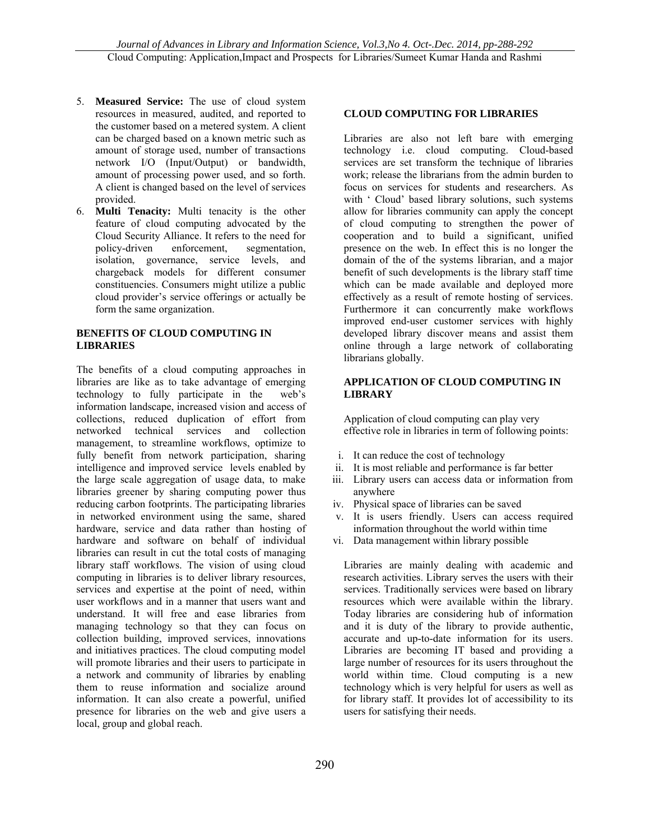- 5. **Measured Service:** The use of cloud system resources in measured, audited, and reported to the customer based on a metered system. A client can be charged based on a known metric such as amount of storage used, number of transactions network I/O (Input/Output) or bandwidth, amount of processing power used, and so forth. A client is changed based on the level of services provided.
- 6. **Multi Tenacity:** Multi tenacity is the other feature of cloud computing advocated by the Cloud Security Alliance. It refers to the need for policy-driven enforcement, segmentation, isolation, governance, service levels, and chargeback models for different consumer constituencies. Consumers might utilize a public cloud provider's service offerings or actually be form the same organization.

## **BENEFITS OF CLOUD COMPUTING IN LIBRARIES**

The benefits of a cloud computing approaches in libraries are like as to take advantage of emerging technology to fully participate in the web's information landscape, increased vision and access of collections, reduced duplication of effort from networked technical services and collection management, to streamline workflows, optimize to fully benefit from network participation, sharing intelligence and improved service levels enabled by the large scale aggregation of usage data, to make libraries greener by sharing computing power thus reducing carbon footprints. The participating libraries in networked environment using the same, shared hardware, service and data rather than hosting of hardware and software on behalf of individual libraries can result in cut the total costs of managing library staff workflows. The vision of using cloud computing in libraries is to deliver library resources, services and expertise at the point of need, within user workflows and in a manner that users want and understand. It will free and ease libraries from managing technology so that they can focus on collection building, improved services, innovations and initiatives practices. The cloud computing model will promote libraries and their users to participate in a network and community of libraries by enabling them to reuse information and socialize around information. It can also create a powerful, unified presence for libraries on the web and give users a local, group and global reach.

## **CLOUD COMPUTING FOR LIBRARIES**

Libraries are also not left bare with emerging technology i.e. cloud computing. Cloud-based services are set transform the technique of libraries work; release the librarians from the admin burden to focus on services for students and researchers. As with ' Cloud' based library solutions, such systems allow for libraries community can apply the concept of cloud computing to strengthen the power of cooperation and to build a significant, unified presence on the web. In effect this is no longer the domain of the of the systems librarian, and a major benefit of such developments is the library staff time which can be made available and deployed more effectively as a result of remote hosting of services. Furthermore it can concurrently make workflows improved end-user customer services with highly developed library discover means and assist them online through a large network of collaborating librarians globally.

## **APPLICATION OF CLOUD COMPUTING IN LIBRARY**

Application of cloud computing can play very effective role in libraries in term of following points:

- i. It can reduce the cost of technology
- ii. It is most reliable and performance is far better
- iii. Library users can access data or information from anywhere
- iv. Physical space of libraries can be saved
- v. It is users friendly. Users can access required information throughout the world within time
- vi. Data management within library possible

Libraries are mainly dealing with academic and research activities. Library serves the users with their services. Traditionally services were based on library resources which were available within the library. Today libraries are considering hub of information and it is duty of the library to provide authentic, accurate and up-to-date information for its users. Libraries are becoming IT based and providing a large number of resources for its users throughout the world within time. Cloud computing is a new technology which is very helpful for users as well as for library staff. It provides lot of accessibility to its users for satisfying their needs.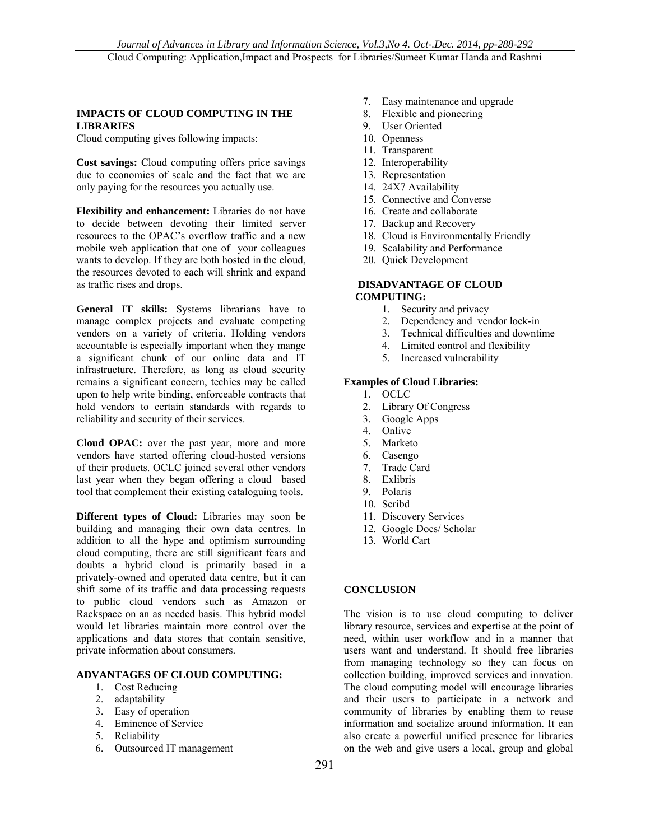## **IMPACTS OF CLOUD COMPUTING IN THE LIBRARIES**

Cloud computing gives following impacts:

**Cost savings:** Cloud computing offers price savings due to economics of scale and the fact that we are only paying for the resources you actually use.

**Flexibility and enhancement:** Libraries do not have to decide between devoting their limited server resources to the OPAC's overflow traffic and a new mobile web application that one of your colleagues wants to develop. If they are both hosted in the cloud, the resources devoted to each will shrink and expand as traffic rises and drops.

**General IT skills:** Systems librarians have to manage complex projects and evaluate competing vendors on a variety of criteria. Holding vendors accountable is especially important when they mange a significant chunk of our online data and IT infrastructure. Therefore, as long as cloud security remains a significant concern, techies may be called upon to help write binding, enforceable contracts that hold vendors to certain standards with regards to reliability and security of their services.

**Cloud OPAC:** over the past year, more and more vendors have started offering cloud-hosted versions of their products. OCLC joined several other vendors last year when they began offering a cloud –based tool that complement their existing cataloguing tools.

**Different types of Cloud:** Libraries may soon be building and managing their own data centres. In addition to all the hype and optimism surrounding cloud computing, there are still significant fears and doubts a hybrid cloud is primarily based in a privately-owned and operated data centre, but it can shift some of its traffic and data processing requests to public cloud vendors such as Amazon or Rackspace on an as needed basis. This hybrid model would let libraries maintain more control over the applications and data stores that contain sensitive, private information about consumers.

### **ADVANTAGES OF CLOUD COMPUTING:**

- 1. Cost Reducing
- 2. adaptability
- 3. Easy of operation
- 4. Eminence of Service
- 5. Reliability
- 6. Outsourced IT management
- 7. Easy maintenance and upgrade
- 8. Flexible and pioneering
- 9. User Oriented
- 10. Openness
- 11. Transparent
- 12. Interoperability
- 13. Representation
- 14. 24X7 Availability
- 15. Connective and Converse
- 16. Create and collaborate
- 17. Backup and Recovery
- 18. Cloud is Environmentally Friendly
- 19. Scalability and Performance
- 20. Quick Development

## **DISADVANTAGE OF CLOUD COMPUTING:**

- 1. Security and privacy
- 2. Dependency and vendor lock-in
- 3. Technical difficulties and downtime
- 4. Limited control and flexibility
- 5. Increased vulnerability

## **Examples of Cloud Libraries:**

- 1. OCLC
- 2. Library Of Congress
- 3. Google Apps
- 4. Onlive
- 5. Marketo
- 6. Casengo
- 7. Trade Card
- 8. Exlibris
- 9. Polaris
- 10. Scribd
- 11. Discovery Services
- 12. Google Docs/ Scholar
- 13. World Cart

## **CONCLUSION**

The vision is to use cloud computing to deliver library resource, services and expertise at the point of need, within user workflow and in a manner that users want and understand. It should free libraries from managing technology so they can focus on collection building, improved services and innvation. The cloud computing model will encourage libraries and their users to participate in a network and community of libraries by enabling them to reuse information and socialize around information. It can also create a powerful unified presence for libraries on the web and give users a local, group and global